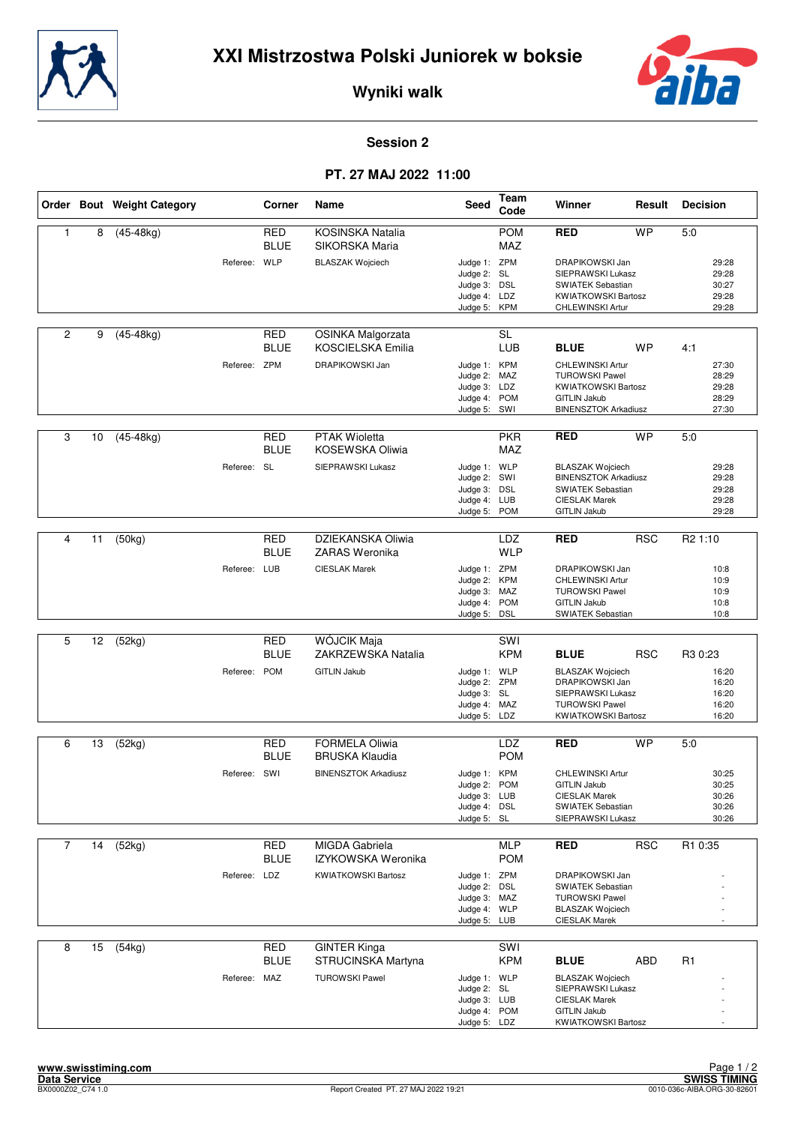



**Wyniki walk**

## **Session 2**

## **PT. 27 MAJ 2022 11:00**

|                |    | Order Bout Weight Category |              | Corner                    | Name                                                 | Seed                                                                         | Team<br>Code                    | Winner                                                                                                                            | Result     | <b>Decision</b>                           |
|----------------|----|----------------------------|--------------|---------------------------|------------------------------------------------------|------------------------------------------------------------------------------|---------------------------------|-----------------------------------------------------------------------------------------------------------------------------------|------------|-------------------------------------------|
| 1              | 8  | $(45-48kg)$                |              | <b>RED</b><br><b>BLUE</b> | <b>KOSINSKA Natalia</b><br>SIKORSKA Maria            |                                                                              | <b>POM</b><br>MAZ               | <b>RED</b>                                                                                                                        | <b>WP</b>  | 5:0                                       |
|                |    |                            | Referee:     | WLP                       | <b>BLASZAK Wojciech</b>                              | Judge 1: ZPM<br>Judge 2: SL<br>Judge 3:<br>Judge 4: LDZ<br>Judge 5:          | <b>DSL</b><br><b>KPM</b>        | DRAPIKOWSKI Jan<br>SIEPRAWSKI Lukasz<br><b>SWIATEK Sebastian</b><br><b>KWIATKOWSKI Bartosz</b><br>CHLEWINSKI Artur                |            | 29:28<br>29:28<br>30:27<br>29:28<br>29:28 |
| $\overline{2}$ | 9  | $(45-48kg)$                |              | <b>RED</b><br><b>BLUE</b> | <b>OSINKA Malgorzata</b><br><b>KOSCIELSKA Emilia</b> |                                                                              | <b>SL</b><br><b>LUB</b>         | <b>BLUE</b>                                                                                                                       | <b>WP</b>  | 4:1                                       |
|                |    |                            | Referee: ZPM |                           | DRAPIKOWSKI Jan                                      | Judge 1: KPM<br>Judge 2:<br>Judge 3: LDZ<br>Judge 4:<br>Judge 5: SWI         | MAZ<br><b>POM</b>               | CHLEWINSKI Artur<br><b>TUROWSKI Pawel</b><br><b>KWIATKOWSKI Bartosz</b><br><b>GITLIN Jakub</b><br><b>BINENSZTOK Arkadiusz</b>     |            | 27:30<br>28:29<br>29:28<br>28:29<br>27:30 |
| 3              | 10 | $(45-48kg)$                |              | <b>RED</b><br><b>BLUE</b> | <b>PTAK Wioletta</b><br>KOSEWSKA Oliwia              |                                                                              | <b>PKR</b><br>MAZ               | <b>RED</b>                                                                                                                        | <b>WP</b>  | 5:0                                       |
|                |    |                            | Referee: SL  |                           | SIEPRAWSKI Lukasz                                    | Judge 1: WLP<br>Judge 2: SWI<br>Judge 3:<br>Judge 4: LUB<br>Judge 5:         | <b>DSL</b><br><b>POM</b>        | <b>BLASZAK Wojciech</b><br><b>BINENSZTOK Arkadiusz</b><br><b>SWIATEK Sebastian</b><br><b>CIESLAK Marek</b><br><b>GITLIN Jakub</b> |            | 29:28<br>29:28<br>29:28<br>29:28<br>29:28 |
|                |    |                            |              |                           |                                                      |                                                                              |                                 |                                                                                                                                   |            |                                           |
| 4              | 11 | (50kg)                     |              | <b>RED</b><br><b>BLUE</b> | DZIEKANSKA Oliwia<br>ZARAS Weronika                  |                                                                              | LDZ<br><b>WLP</b>               | <b>RED</b>                                                                                                                        | <b>RSC</b> | R <sub>2</sub> 1:10                       |
|                |    |                            | Referee: LUB |                           | <b>CIESLAK Marek</b>                                 | Judge 1: ZPM<br>Judge 2:<br>Judge 3:<br>Judge 4: POM<br>Judge 5:             | <b>KPM</b><br>MAZ<br><b>DSL</b> | DRAPIKOWSKI Jan<br>CHLEWINSKI Artur<br><b>TUROWSKI Pawel</b><br><b>GITLIN Jakub</b><br>SWIATEK Sebastian                          |            | 10:8<br>10:9<br>10:9<br>10:8<br>10:8      |
|                |    |                            |              |                           |                                                      |                                                                              |                                 |                                                                                                                                   |            |                                           |
| 5              | 12 | (52kg)                     |              | RED<br><b>BLUE</b>        | WÓJCIK Maja<br>ZAKRZEWSKA Natalia                    |                                                                              | SWI<br><b>KPM</b>               | <b>BLUE</b>                                                                                                                       | <b>RSC</b> | R3 0:23                                   |
|                |    |                            | Referee: POM |                           | <b>GITLIN Jakub</b>                                  | Judge 1: WLP<br>Judge 2: ZPM<br>Judge 3: SL<br>Judge 4: MAZ<br>Judge 5: LDZ  |                                 | <b>BLASZAK Wojciech</b><br>DRAPIKOWSKI Jan<br>SIEPRAWSKI Lukasz<br><b>TUROWSKI Pawel</b><br><b>KWIATKOWSKI Bartosz</b>            |            | 16:20<br>16:20<br>16:20<br>16:20<br>16:20 |
|                |    |                            |              |                           |                                                      |                                                                              |                                 |                                                                                                                                   |            |                                           |
| 6              | 13 | (52kg)                     |              | RED<br><b>BLUE</b>        | <b>FORMELA Oliwia</b><br><b>BRUSKA Klaudia</b>       |                                                                              | LDZ<br><b>POM</b>               | <b>RED</b>                                                                                                                        | <b>WP</b>  | 5:0                                       |
|                |    |                            | Referee: SWI |                           | <b>BINENSZTOK Arkadiusz</b>                          | Judge 1: KPM<br>Judge 2: POM<br>Judge 3: LUB<br>Judge 4: DSL<br>Judge 5: SL  |                                 | CHLEWINSKI Artur<br><b>GITLIN Jakub</b><br><b>CIESLAK Marek</b><br>SWIATEK Sebastian<br>SIEPRAWSKI Lukasz                         |            | 30:25<br>30:25<br>30:26<br>30:26<br>30:26 |
|                |    |                            |              |                           |                                                      |                                                                              |                                 |                                                                                                                                   |            |                                           |
| $\overline{7}$ | 14 | (52kg)                     |              | <b>RED</b><br><b>BLUE</b> | MIGDA Gabriela<br>IZYKOWSKA Weronika                 |                                                                              | <b>MLP</b><br><b>POM</b>        | <b>RED</b>                                                                                                                        | <b>RSC</b> | R1 0:35                                   |
|                |    |                            | Referee: LDZ |                           | <b>KWIATKOWSKI Bartosz</b>                           | Judge 1: ZPM<br>Judge 2: DSL<br>Judge 3: MAZ<br>Judge 4: WLP<br>Judge 5: LUB |                                 | DRAPIKOWSKI Jan<br><b>SWIATEK Sebastian</b><br><b>TUROWSKI Pawel</b><br><b>BLASZAK Wojciech</b><br><b>CIESLAK Marek</b>           |            |                                           |
| 8              | 15 | (54kg)                     |              | <b>RED</b><br><b>BLUE</b> | <b>GINTER Kinga</b><br>STRUCINSKA Martyna            |                                                                              | SWI<br><b>KPM</b>               | <b>BLUE</b>                                                                                                                       | ABD        | R <sub>1</sub>                            |
|                |    |                            | Referee: MAZ |                           | <b>TUROWSKI Pawel</b>                                | Judge 1: WLP<br>Judge 2: SL<br>Judge 3: LUB<br>Judge 4: POM<br>Judge 5: LDZ  |                                 | <b>BLASZAK Wojciech</b><br>SIEPRAWSKI Lukasz<br><b>CIESLAK Marek</b><br><b>GITLIN Jakub</b><br><b>KWIATKOWSKI Bartosz</b>         |            |                                           |